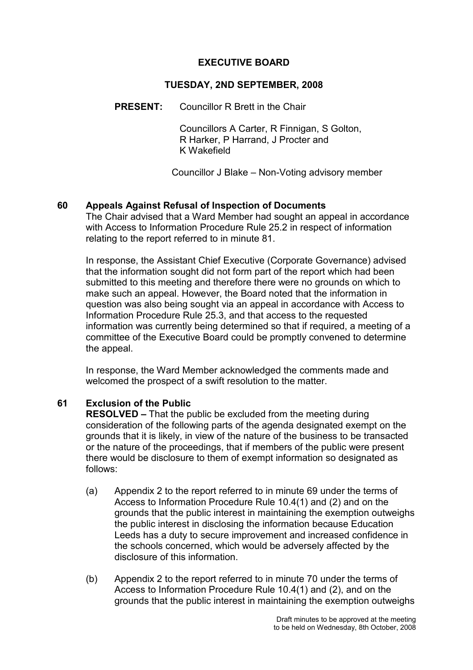#### EXECUTIVE BOARD

#### TUESDAY, 2ND SEPTEMBER, 2008

PRESENT: Councillor R Brett in the Chair

 Councillors A Carter, R Finnigan, S Golton, R Harker, P Harrand, J Procter and K Wakefield

Councillor J Blake – Non-Voting advisory member

#### 60 Appeals Against Refusal of Inspection of Documents

The Chair advised that a Ward Member had sought an appeal in accordance with Access to Information Procedure Rule 25.2 in respect of information relating to the report referred to in minute 81.

In response, the Assistant Chief Executive (Corporate Governance) advised that the information sought did not form part of the report which had been submitted to this meeting and therefore there were no grounds on which to make such an appeal. However, the Board noted that the information in question was also being sought via an appeal in accordance with Access to Information Procedure Rule 25.3, and that access to the requested information was currently being determined so that if required, a meeting of a committee of the Executive Board could be promptly convened to determine the appeal.

In response, the Ward Member acknowledged the comments made and welcomed the prospect of a swift resolution to the matter.

#### 61 Exclusion of the Public

RESOLVED – That the public be excluded from the meeting during consideration of the following parts of the agenda designated exempt on the grounds that it is likely, in view of the nature of the business to be transacted or the nature of the proceedings, that if members of the public were present there would be disclosure to them of exempt information so designated as follows:

- (a) Appendix 2 to the report referred to in minute 69 under the terms of Access to Information Procedure Rule 10.4(1) and (2) and on the grounds that the public interest in maintaining the exemption outweighs the public interest in disclosing the information because Education Leeds has a duty to secure improvement and increased confidence in the schools concerned, which would be adversely affected by the disclosure of this information.
- (b) Appendix 2 to the report referred to in minute 70 under the terms of Access to Information Procedure Rule 10.4(1) and (2), and on the grounds that the public interest in maintaining the exemption outweighs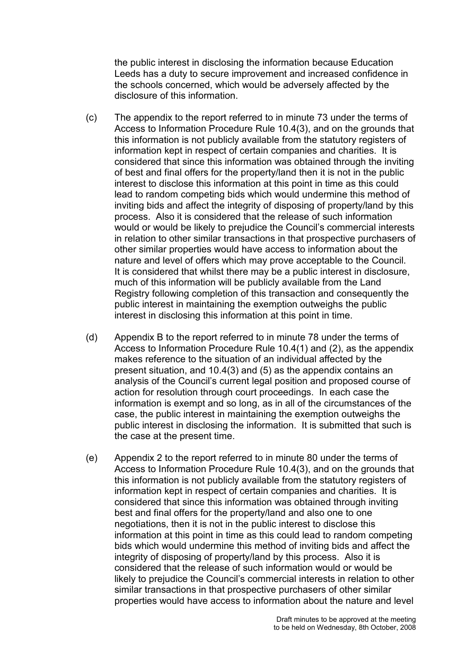the public interest in disclosing the information because Education Leeds has a duty to secure improvement and increased confidence in the schools concerned, which would be adversely affected by the disclosure of this information.

- (c) The appendix to the report referred to in minute 73 under the terms of Access to Information Procedure Rule 10.4(3), and on the grounds that this information is not publicly available from the statutory registers of information kept in respect of certain companies and charities. It is considered that since this information was obtained through the inviting of best and final offers for the property/land then it is not in the public interest to disclose this information at this point in time as this could lead to random competing bids which would undermine this method of inviting bids and affect the integrity of disposing of property/land by this process. Also it is considered that the release of such information would or would be likely to prejudice the Council's commercial interests in relation to other similar transactions in that prospective purchasers of other similar properties would have access to information about the nature and level of offers which may prove acceptable to the Council. It is considered that whilst there may be a public interest in disclosure, much of this information will be publicly available from the Land Registry following completion of this transaction and consequently the public interest in maintaining the exemption outweighs the public interest in disclosing this information at this point in time.
- (d) Appendix B to the report referred to in minute 78 under the terms of Access to Information Procedure Rule 10.4(1) and (2), as the appendix makes reference to the situation of an individual affected by the present situation, and 10.4(3) and (5) as the appendix contains an analysis of the Council's current legal position and proposed course of action for resolution through court proceedings. In each case the information is exempt and so long, as in all of the circumstances of the case, the public interest in maintaining the exemption outweighs the public interest in disclosing the information. It is submitted that such is the case at the present time.
- (e) Appendix 2 to the report referred to in minute 80 under the terms of Access to Information Procedure Rule 10.4(3), and on the grounds that this information is not publicly available from the statutory registers of information kept in respect of certain companies and charities. It is considered that since this information was obtained through inviting best and final offers for the property/land and also one to one negotiations, then it is not in the public interest to disclose this information at this point in time as this could lead to random competing bids which would undermine this method of inviting bids and affect the integrity of disposing of property/land by this process. Also it is considered that the release of such information would or would be likely to prejudice the Council's commercial interests in relation to other similar transactions in that prospective purchasers of other similar properties would have access to information about the nature and level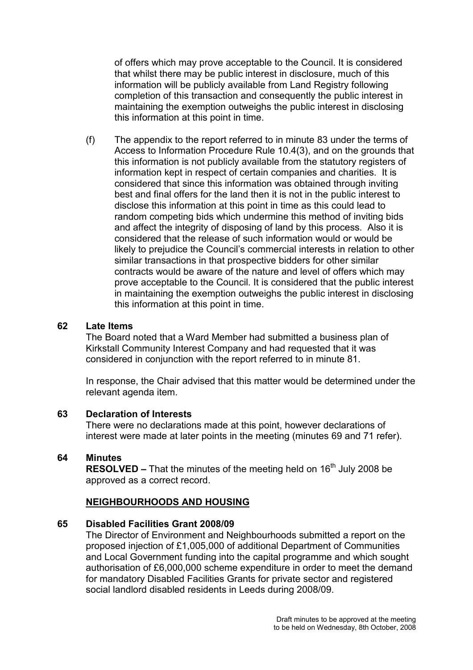of offers which may prove acceptable to the Council. It is considered that whilst there may be public interest in disclosure, much of this information will be publicly available from Land Registry following completion of this transaction and consequently the public interest in maintaining the exemption outweighs the public interest in disclosing this information at this point in time.

(f) The appendix to the report referred to in minute 83 under the terms of Access to Information Procedure Rule 10.4(3), and on the grounds that this information is not publicly available from the statutory registers of information kept in respect of certain companies and charities. It is considered that since this information was obtained through inviting best and final offers for the land then it is not in the public interest to disclose this information at this point in time as this could lead to random competing bids which undermine this method of inviting bids and affect the integrity of disposing of land by this process. Also it is considered that the release of such information would or would be likely to prejudice the Council's commercial interests in relation to other similar transactions in that prospective bidders for other similar contracts would be aware of the nature and level of offers which may prove acceptable to the Council. It is considered that the public interest in maintaining the exemption outweighs the public interest in disclosing this information at this point in time.

#### 62 Late Items

The Board noted that a Ward Member had submitted a business plan of Kirkstall Community Interest Company and had requested that it was considered in conjunction with the report referred to in minute 81.

In response, the Chair advised that this matter would be determined under the relevant agenda item.

#### 63 Declaration of Interests

There were no declarations made at this point, however declarations of interest were made at later points in the meeting (minutes 69 and 71 refer).

## 64 Minutes

**RESOLVED –** That the minutes of the meeting held on  $16<sup>th</sup>$  July 2008 be approved as a correct record.

#### NEIGHBOURHOODS AND HOUSING

#### 65 Disabled Facilities Grant 2008/09

The Director of Environment and Neighbourhoods submitted a report on the proposed injection of £1,005,000 of additional Department of Communities and Local Government funding into the capital programme and which sought authorisation of £6,000,000 scheme expenditure in order to meet the demand for mandatory Disabled Facilities Grants for private sector and registered social landlord disabled residents in Leeds during 2008/09.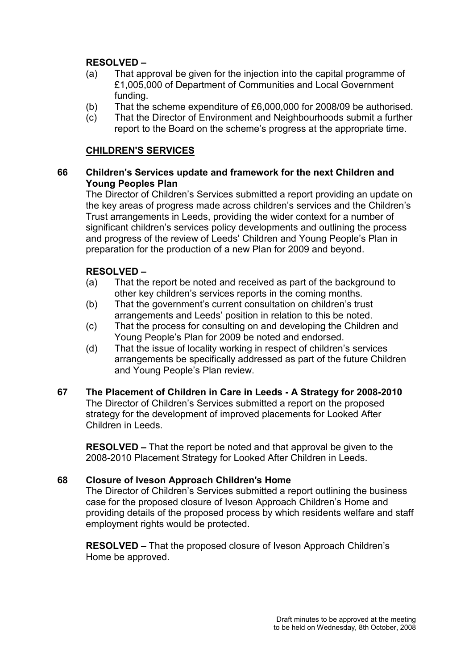# RESOLVED –

- (a) That approval be given for the injection into the capital programme of £1,005,000 of Department of Communities and Local Government funding.
- (b) That the scheme expenditure of £6,000,000 for 2008/09 be authorised.
- (c) That the Director of Environment and Neighbourhoods submit a further report to the Board on the scheme's progress at the appropriate time.

## CHILDREN'S SERVICES

## 66 Children's Services update and framework for the next Children and Young Peoples Plan

The Director of Children's Services submitted a report providing an update on the key areas of progress made across children's services and the Children's Trust arrangements in Leeds, providing the wider context for a number of significant children's services policy developments and outlining the process and progress of the review of Leeds' Children and Young People's Plan in preparation for the production of a new Plan for 2009 and beyond.

# RESOLVED –

- (a) That the report be noted and received as part of the background to other key children's services reports in the coming months.
- (b) That the government's current consultation on children's trust arrangements and Leeds' position in relation to this be noted.
- (c) That the process for consulting on and developing the Children and Young People's Plan for 2009 be noted and endorsed.
- (d) That the issue of locality working in respect of children's services arrangements be specifically addressed as part of the future Children and Young People's Plan review.
- 67 The Placement of Children in Care in Leeds A Strategy for 2008-2010 The Director of Children's Services submitted a report on the proposed strategy for the development of improved placements for Looked After Children in Leeds.

RESOLVED – That the report be noted and that approval be given to the 2008-2010 Placement Strategy for Looked After Children in Leeds.

# 68 Closure of Iveson Approach Children's Home

The Director of Children's Services submitted a report outlining the business case for the proposed closure of Iveson Approach Children's Home and providing details of the proposed process by which residents welfare and staff employment rights would be protected.

RESOLVED – That the proposed closure of Iveson Approach Children's Home be approved.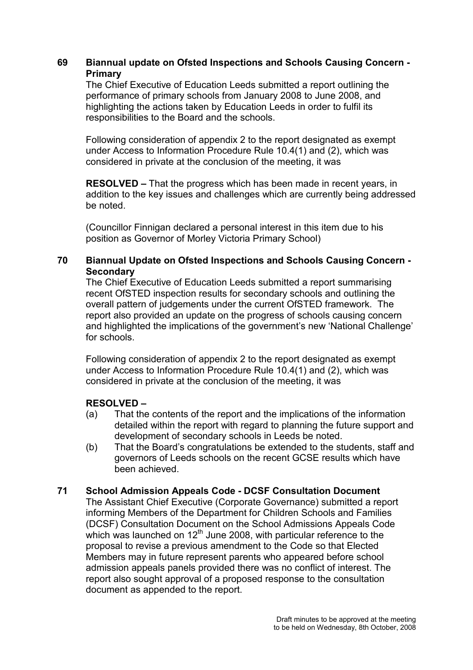## 69 Biannual update on Ofsted Inspections and Schools Causing Concern - Primary

The Chief Executive of Education Leeds submitted a report outlining the performance of primary schools from January 2008 to June 2008, and highlighting the actions taken by Education Leeds in order to fulfil its responsibilities to the Board and the schools.

Following consideration of appendix 2 to the report designated as exempt under Access to Information Procedure Rule 10.4(1) and (2), which was considered in private at the conclusion of the meeting, it was

RESOLVED – That the progress which has been made in recent years, in addition to the key issues and challenges which are currently being addressed be noted.

(Councillor Finnigan declared a personal interest in this item due to his position as Governor of Morley Victoria Primary School)

## 70 Biannual Update on Ofsted Inspections and Schools Causing Concern - **Secondary**

The Chief Executive of Education Leeds submitted a report summarising recent OfSTED inspection results for secondary schools and outlining the overall pattern of judgements under the current OfSTED framework. The report also provided an update on the progress of schools causing concern and highlighted the implications of the government's new 'National Challenge' for schools.

Following consideration of appendix 2 to the report designated as exempt under Access to Information Procedure Rule 10.4(1) and (2), which was considered in private at the conclusion of the meeting, it was

#### RESOLVED –

- (a) That the contents of the report and the implications of the information detailed within the report with regard to planning the future support and development of secondary schools in Leeds be noted.
- (b) That the Board's congratulations be extended to the students, staff and governors of Leeds schools on the recent GCSE results which have been achieved.

#### 71 School Admission Appeals Code - DCSF Consultation Document

The Assistant Chief Executive (Corporate Governance) submitted a report informing Members of the Department for Children Schools and Families (DCSF) Consultation Document on the School Admissions Appeals Code which was launched on  $12<sup>th</sup>$  June 2008, with particular reference to the proposal to revise a previous amendment to the Code so that Elected Members may in future represent parents who appeared before school admission appeals panels provided there was no conflict of interest. The report also sought approval of a proposed response to the consultation document as appended to the report.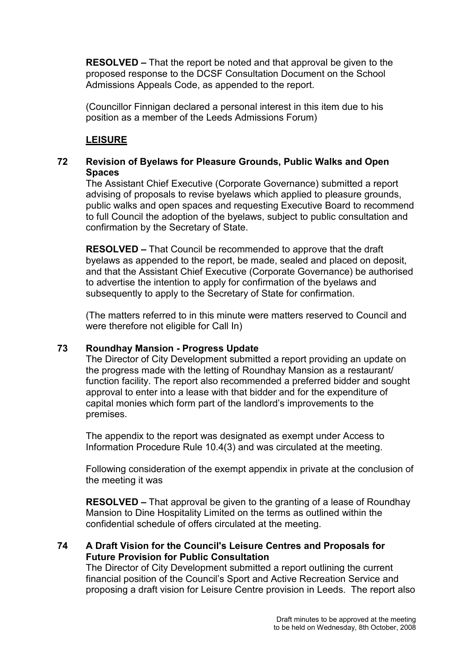RESOLVED – That the report be noted and that approval be given to the proposed response to the DCSF Consultation Document on the School Admissions Appeals Code, as appended to the report.

(Councillor Finnigan declared a personal interest in this item due to his position as a member of the Leeds Admissions Forum)

# LEISURE

# 72 Revision of Byelaws for Pleasure Grounds, Public Walks and Open **Spaces**

The Assistant Chief Executive (Corporate Governance) submitted a report advising of proposals to revise byelaws which applied to pleasure grounds, public walks and open spaces and requesting Executive Board to recommend to full Council the adoption of the byelaws, subject to public consultation and confirmation by the Secretary of State.

RESOLVED – That Council be recommended to approve that the draft byelaws as appended to the report, be made, sealed and placed on deposit, and that the Assistant Chief Executive (Corporate Governance) be authorised to advertise the intention to apply for confirmation of the byelaws and subsequently to apply to the Secretary of State for confirmation.

(The matters referred to in this minute were matters reserved to Council and were therefore not eligible for Call In)

# 73 Roundhay Mansion - Progress Update

The Director of City Development submitted a report providing an update on the progress made with the letting of Roundhay Mansion as a restaurant/ function facility. The report also recommended a preferred bidder and sought approval to enter into a lease with that bidder and for the expenditure of capital monies which form part of the landlord's improvements to the premises.

The appendix to the report was designated as exempt under Access to Information Procedure Rule 10.4(3) and was circulated at the meeting.

Following consideration of the exempt appendix in private at the conclusion of the meeting it was

RESOLVED – That approval be given to the granting of a lease of Roundhay Mansion to Dine Hospitality Limited on the terms as outlined within the confidential schedule of offers circulated at the meeting.

## 74 A Draft Vision for the Council's Leisure Centres and Proposals for Future Provision for Public Consultation

The Director of City Development submitted a report outlining the current financial position of the Council's Sport and Active Recreation Service and proposing a draft vision for Leisure Centre provision in Leeds. The report also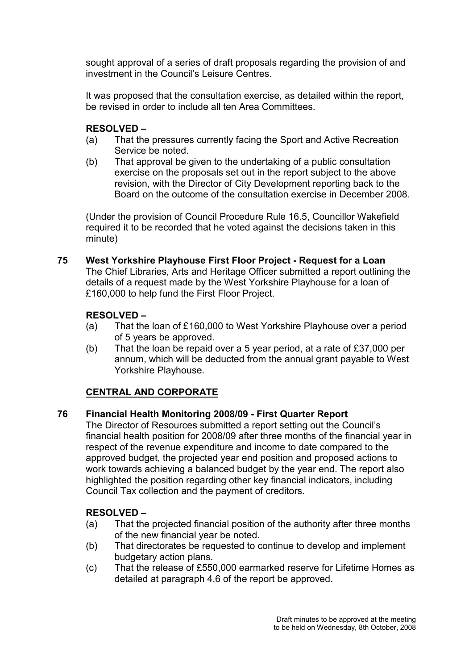sought approval of a series of draft proposals regarding the provision of and investment in the Council's Leisure Centres.

It was proposed that the consultation exercise, as detailed within the report, be revised in order to include all ten Area Committees.

# RESOLVED –

- (a) That the pressures currently facing the Sport and Active Recreation Service be noted.
- (b) That approval be given to the undertaking of a public consultation exercise on the proposals set out in the report subject to the above revision, with the Director of City Development reporting back to the Board on the outcome of the consultation exercise in December 2008.

(Under the provision of Council Procedure Rule 16.5, Councillor Wakefield required it to be recorded that he voted against the decisions taken in this minute)

75 West Yorkshire Playhouse First Floor Project - Request for a Loan The Chief Libraries, Arts and Heritage Officer submitted a report outlining the details of a request made by the West Yorkshire Playhouse for a loan of £160,000 to help fund the First Floor Project.

# RESOLVED –

- (a) That the loan of £160,000 to West Yorkshire Playhouse over a period of 5 years be approved.
- (b) That the loan be repaid over a 5 year period, at a rate of £37,000 per annum, which will be deducted from the annual grant payable to West Yorkshire Playhouse.

# CENTRAL AND CORPORATE

# 76 Financial Health Monitoring 2008/09 - First Quarter Report

The Director of Resources submitted a report setting out the Council's financial health position for 2008/09 after three months of the financial year in respect of the revenue expenditure and income to date compared to the approved budget, the projected year end position and proposed actions to work towards achieving a balanced budget by the year end. The report also highlighted the position regarding other key financial indicators, including Council Tax collection and the payment of creditors.

# RESOLVED –

- (a) That the projected financial position of the authority after three months of the new financial year be noted.
- (b) That directorates be requested to continue to develop and implement budgetary action plans.
- (c) That the release of £550,000 earmarked reserve for Lifetime Homes as detailed at paragraph 4.6 of the report be approved.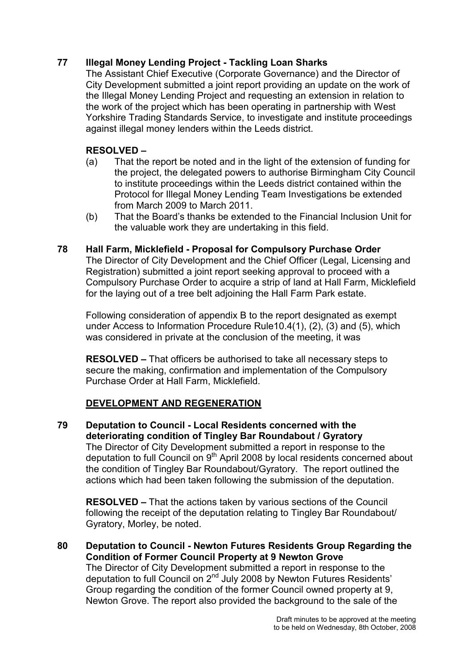# 77 Illegal Money Lending Project - Tackling Loan Sharks

The Assistant Chief Executive (Corporate Governance) and the Director of City Development submitted a joint report providing an update on the work of the Illegal Money Lending Project and requesting an extension in relation to the work of the project which has been operating in partnership with West Yorkshire Trading Standards Service, to investigate and institute proceedings against illegal money lenders within the Leeds district.

# RESOLVED –

- (a) That the report be noted and in the light of the extension of funding for the project, the delegated powers to authorise Birmingham City Council to institute proceedings within the Leeds district contained within the Protocol for Illegal Money Lending Team Investigations be extended from March 2009 to March 2011.
- (b) That the Board's thanks be extended to the Financial Inclusion Unit for the valuable work they are undertaking in this field.

## 78 Hall Farm, Micklefield - Proposal for Compulsory Purchase Order

The Director of City Development and the Chief Officer (Legal, Licensing and Registration) submitted a joint report seeking approval to proceed with a Compulsory Purchase Order to acquire a strip of land at Hall Farm, Micklefield for the laying out of a tree belt adjoining the Hall Farm Park estate.

Following consideration of appendix B to the report designated as exempt under Access to Information Procedure Rule10.4(1), (2), (3) and (5), which was considered in private at the conclusion of the meeting, it was

RESOLVED – That officers be authorised to take all necessary steps to secure the making, confirmation and implementation of the Compulsory Purchase Order at Hall Farm, Micklefield.

# DEVELOPMENT AND REGENERATION

79 Deputation to Council - Local Residents concerned with the deteriorating condition of Tingley Bar Roundabout / Gyratory The Director of City Development submitted a report in response to the deputation to full Council on 9<sup>th</sup> April 2008 by local residents concerned about the condition of Tingley Bar Roundabout/Gyratory. The report outlined the actions which had been taken following the submission of the deputation.

RESOLVED – That the actions taken by various sections of the Council following the receipt of the deputation relating to Tingley Bar Roundabout/ Gyratory, Morley, be noted.

80 Deputation to Council - Newton Futures Residents Group Regarding the Condition of Former Council Property at 9 Newton Grove The Director of City Development submitted a report in response to the deputation to full Council on 2nd July 2008 by Newton Futures Residents' Group regarding the condition of the former Council owned property at 9, Newton Grove. The report also provided the background to the sale of the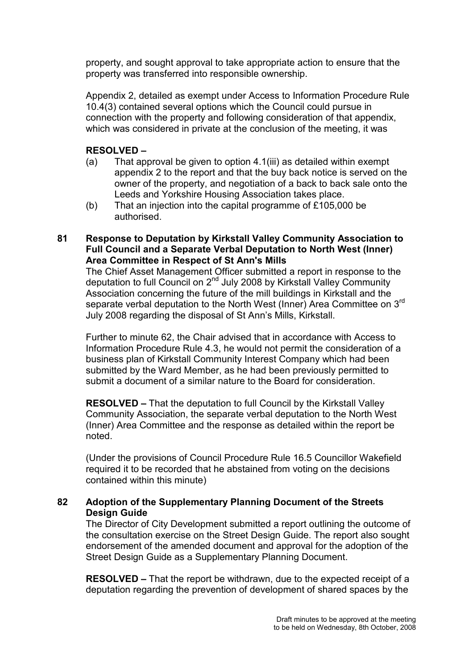property, and sought approval to take appropriate action to ensure that the property was transferred into responsible ownership.

Appendix 2, detailed as exempt under Access to Information Procedure Rule 10.4(3) contained several options which the Council could pursue in connection with the property and following consideration of that appendix, which was considered in private at the conclusion of the meeting, it was

## RESOLVED –

- (a) That approval be given to option 4.1(iii) as detailed within exempt appendix 2 to the report and that the buy back notice is served on the owner of the property, and negotiation of a back to back sale onto the Leeds and Yorkshire Housing Association takes place.
- (b) That an injection into the capital programme of £105,000 be authorised.
- 81 Response to Deputation by Kirkstall Valley Community Association to Full Council and a Separate Verbal Deputation to North West (Inner) Area Committee in Respect of St Ann's Mills

The Chief Asset Management Officer submitted a report in response to the deputation to full Council on 2nd July 2008 by Kirkstall Valley Community Association concerning the future of the mill buildings in Kirkstall and the separate verbal deputation to the North West (Inner) Area Committee on 3rd July 2008 regarding the disposal of St Ann's Mills, Kirkstall.

Further to minute 62, the Chair advised that in accordance with Access to Information Procedure Rule 4.3, he would not permit the consideration of a business plan of Kirkstall Community Interest Company which had been submitted by the Ward Member, as he had been previously permitted to submit a document of a similar nature to the Board for consideration.

RESOLVED – That the deputation to full Council by the Kirkstall Valley Community Association, the separate verbal deputation to the North West (Inner) Area Committee and the response as detailed within the report be noted.

(Under the provisions of Council Procedure Rule 16.5 Councillor Wakefield required it to be recorded that he abstained from voting on the decisions contained within this minute)

## 82 Adoption of the Supplementary Planning Document of the Streets Desian Guide

The Director of City Development submitted a report outlining the outcome of the consultation exercise on the Street Design Guide. The report also sought endorsement of the amended document and approval for the adoption of the Street Design Guide as a Supplementary Planning Document.

RESOLVED – That the report be withdrawn, due to the expected receipt of a deputation regarding the prevention of development of shared spaces by the